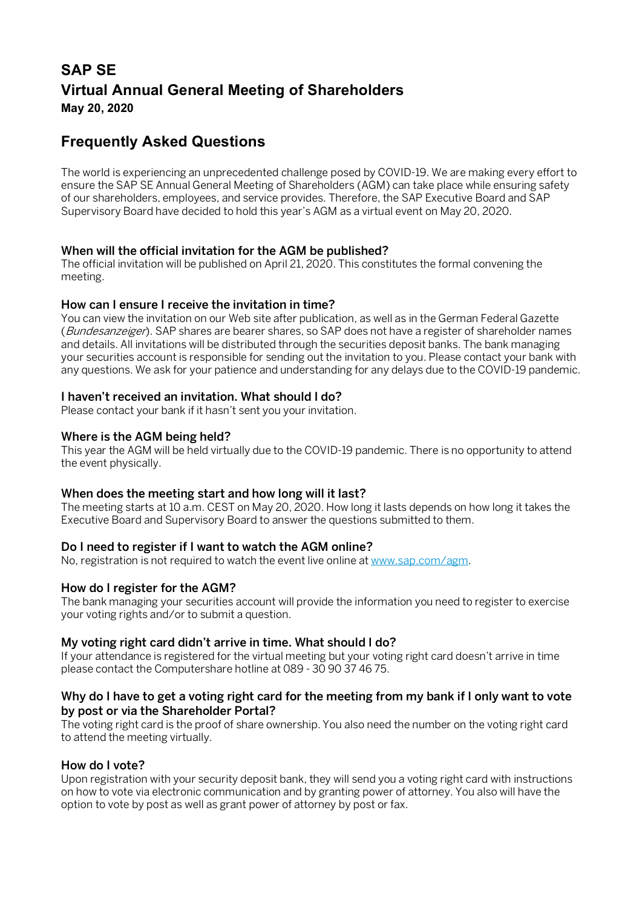# **SAP SE Virtual Annual General Meeting of Shareholders May 20, 2020**

# **Frequently Asked Questions**

The world is experiencing an unprecedented challenge posed by COVID-19. We are making every effort to ensure the SAP SE Annual General Meeting of Shareholders (AGM) can take place while ensuring safety of our shareholders, employees, and service provides. Therefore, the SAP Executive Board and SAP Supervisory Board have decided to hold this year's AGM as a virtual event on May 20, 2020.

#### When will the official invitation for the AGM be published?

The official invitation will be published on April 21, 2020. This constitutes the formal convening the meeting.

#### How can I ensure I receive the invitation in time?

You can view the invitation on our Web site after publication, as well as in the German Federal Gazette (Bundesanzeiger). SAP shares are bearer shares, so SAP does not have a register of shareholder names and details. All invitations will be distributed through the securities deposit banks. The bank managing your securities account is responsible for sending out the invitation to you. Please contact your bank with any questions. We ask for your patience and understanding for any delays due to the COVID-19 pandemic.

## I haven't received an invitation. What should I do?

Please contact your bank if it hasn't sent you your invitation.

#### Where is the AGM being held?

This year the AGM will be held virtually due to the COVID-19 pandemic. There is no opportunity to attend the event physically.

#### When does the meeting start and how long will it last?

The meeting starts at 10 a.m. CEST on May 20, 2020. How long it lasts depends on how long it takes the Executive Board and Supervisory Board to answer the questions submitted to them.

#### Do I need to register if I want to watch the AGM online?

No, registration is not required to watch the event live online a[t www.sap.com/agm.](http://www.sap.com/agm)

#### How do I register for the AGM?

The bank managing your securities account will provide the information you need to register to exercise your voting rights and/or to submit a question.

#### My voting right card didn't arrive in time. What should I do?

If your attendance is registered for the virtual meeting but your voting right card doesn't arrive in time please contact the Computershare hotline at 089 - 30 90 37 46 75.

#### Why do I have to get a voting right card for the meeting from my bank if I only want to vote by post or via the Shareholder Portal?

The voting right card is the proof of share ownership. You also need the number on the voting right card to attend the meeting virtually.

#### How do I vote?

Upon registration with your security deposit bank, they will send you a voting right card with instructions on how to vote via electronic communication and by granting power of attorney. You also will have the option to vote by post as well as grant power of attorney by post or fax.